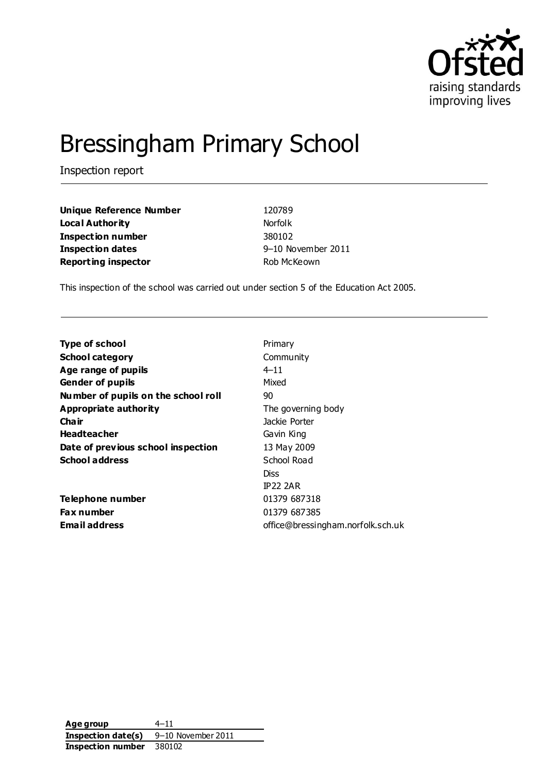

# Bressingham Primary School

Inspection report

**Unique Reference Number** 120789 **Local Authority** Norfolk **Inspection number** 380102 **Inspection dates** 9–10 November 2011 **Reporting inspector Reporting inspector Rob McKeown** 

This inspection of the school was carried out under section 5 of the Education Act 2005.

| <b>Type of school</b>               | Primary                           |
|-------------------------------------|-----------------------------------|
| <b>School category</b>              | Community                         |
| Age range of pupils                 | $4 - 11$                          |
| <b>Gender of pupils</b>             | Mixed                             |
| Number of pupils on the school roll | 90                                |
| Appropriate authority               | The governing body                |
| Cha ir                              | Jackie Porter                     |
| <b>Headteacher</b>                  | Gavin King                        |
| Date of previous school inspection  | 13 May 2009                       |
| <b>School address</b>               | School Road                       |
|                                     | Diss                              |
|                                     | <b>IP22 2AR</b>                   |
| Telephone number                    | 01379 687318                      |
| <b>Fax number</b>                   | 01379 687385                      |
| <b>Email address</b>                | office@bressingham.norfolk.sch.uk |

**Age group** 4–11 **Inspection date(s)** 9–10 November 2011 **Inspection number** 380102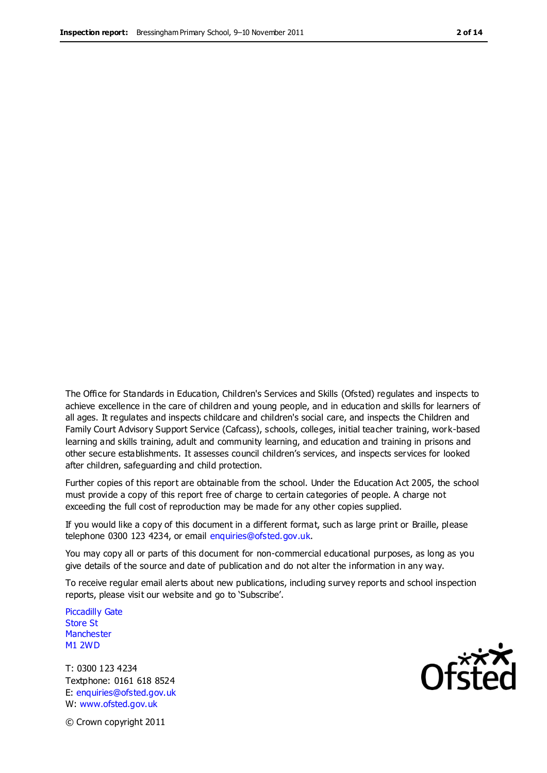The Office for Standards in Education, Children's Services and Skills (Ofsted) regulates and inspects to achieve excellence in the care of children and young people, and in education and skills for learners of all ages. It regulates and inspects childcare and children's social care, and inspects the Children and Family Court Advisory Support Service (Cafcass), schools, colleges, initial teacher training, work-based learning and skills training, adult and community learning, and education and training in prisons and other secure establishments. It assesses council children's services, and inspects services for looked after children, safeguarding and child protection.

Further copies of this report are obtainable from the school. Under the Education Act 2005, the school must provide a copy of this report free of charge to certain categories of people. A charge not exceeding the full cost of reproduction may be made for any other copies supplied.

If you would like a copy of this document in a different format, such as large print or Braille, please telephone 0300 123 4234, or email enquiries@ofsted.gov.uk.

You may copy all or parts of this document for non-commercial educational purposes, as long as you give details of the source and date of publication and do not alter the information in any way.

To receive regular email alerts about new publications, including survey reports and school inspection reports, please visit our website and go to 'Subscribe'.

Piccadilly Gate Store St **Manchester** M1 2WD

T: 0300 123 4234 Textphone: 0161 618 8524 E: enquiries@ofsted.gov.uk W: www.ofsted.gov.uk

**Ofsted** 

© Crown copyright 2011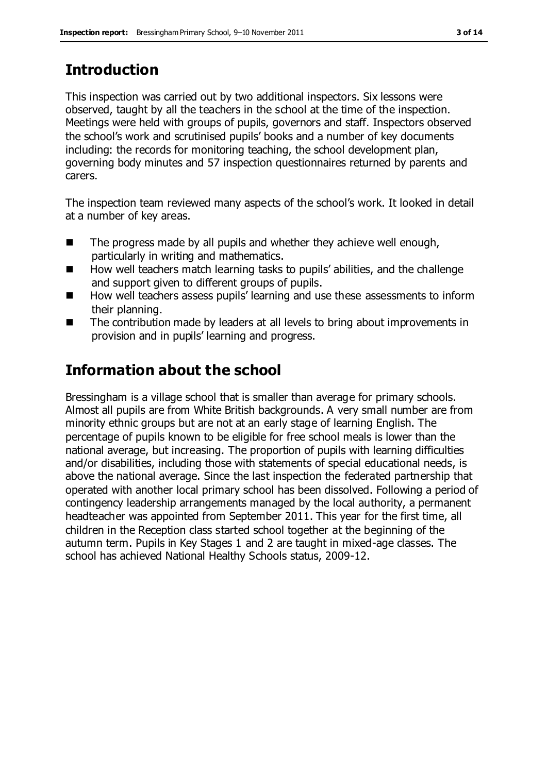# **Introduction**

This inspection was carried out by two additional inspectors. Six lessons were observed, taught by all the teachers in the school at the time of the inspection. Meetings were held with groups of pupils, governors and staff. Inspectors observed the school's work and scrutinised pupils' books and a number of key documents including: the records for monitoring teaching, the school development plan, governing body minutes and 57 inspection questionnaires returned by parents and carers.

The inspection team reviewed many aspects of the school's work. It looked in detail at a number of key areas.

- $\blacksquare$  The progress made by all pupils and whether they achieve well enough, particularly in writing and mathematics.
- How well teachers match learning tasks to pupils' abilities, and the challenge and support given to different groups of pupils.
- How well teachers assess pupils' learning and use these assessments to inform their planning.
- The contribution made by leaders at all levels to bring about improvements in provision and in pupils' learning and progress.

# **Information about the school**

Bressingham is a village school that is smaller than average for primary schools. Almost all pupils are from White British backgrounds. A very small number are from minority ethnic groups but are not at an early stage of learning English. The percentage of pupils known to be eligible for free school meals is lower than the national average, but increasing. The proportion of pupils with learning difficulties and/or disabilities, including those with statements of special educational needs, is above the national average. Since the last inspection the federated partnership that operated with another local primary school has been dissolved. Following a period of contingency leadership arrangements managed by the local authority, a permanent headteacher was appointed from September 2011. This year for the first time, all children in the Reception class started school together at the beginning of the autumn term. Pupils in Key Stages 1 and 2 are taught in mixed-age classes. The school has achieved National Healthy Schools status, 2009-12.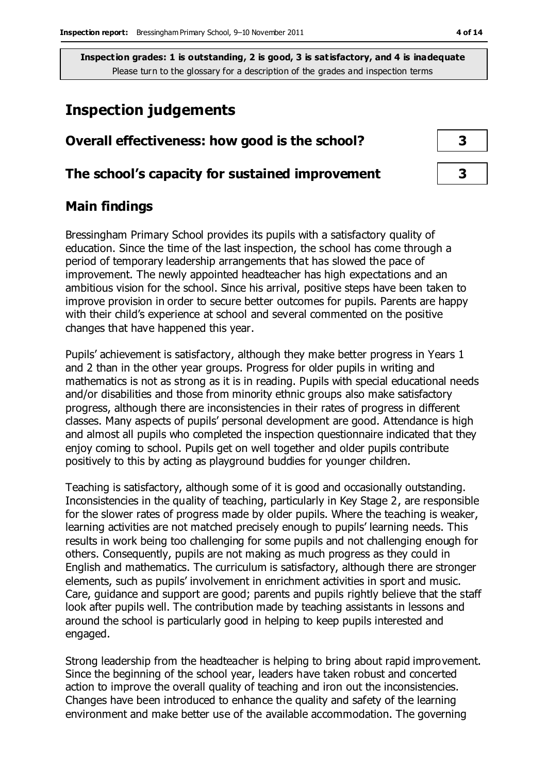## **Inspection judgements**

#### **Overall effectiveness: how good is the school? 3**

#### **The school's capacity for sustained improvement 3**

### **Main findings**

Bressingham Primary School provides its pupils with a satisfactory quality of education. Since the time of the last inspection, the school has come through a period of temporary leadership arrangements that has slowed the pace of improvement. The newly appointed headteacher has high expectations and an ambitious vision for the school. Since his arrival, positive steps have been taken to improve provision in order to secure better outcomes for pupils. Parents are happy with their child's experience at school and several commented on the positive changes that have happened this year.

Pupils' achievement is satisfactory, although they make better progress in Years 1 and 2 than in the other year groups. Progress for older pupils in writing and mathematics is not as strong as it is in reading. Pupils with special educational needs and/or disabilities and those from minority ethnic groups also make satisfactory progress, although there are inconsistencies in their rates of progress in different classes. Many aspects of pupils' personal development are good. Attendance is high and almost all pupils who completed the inspection questionnaire indicated that they enjoy coming to school. Pupils get on well together and older pupils contribute positively to this by acting as playground buddies for younger children.

Teaching is satisfactory, although some of it is good and occasionally outstanding. Inconsistencies in the quality of teaching, particularly in Key Stage 2, are responsible for the slower rates of progress made by older pupils. Where the teaching is weaker, learning activities are not matched precisely enough to pupils' learning needs. This results in work being too challenging for some pupils and not challenging enough for others. Consequently, pupils are not making as much progress as they could in English and mathematics. The curriculum is satisfactory, although there are stronger elements, such as pupils' involvement in enrichment activities in sport and music. Care, guidance and support are good; parents and pupils rightly believe that the staff look after pupils well. The contribution made by teaching assistants in lessons and around the school is particularly good in helping to keep pupils interested and engaged.

Strong leadership from the headteacher is helping to bring about rapid improvement. Since the beginning of the school year, leaders have taken robust and concerted action to improve the overall quality of teaching and iron out the inconsistencies. Changes have been introduced to enhance the quality and safety of the learning environment and make better use of the available accommodation. The governing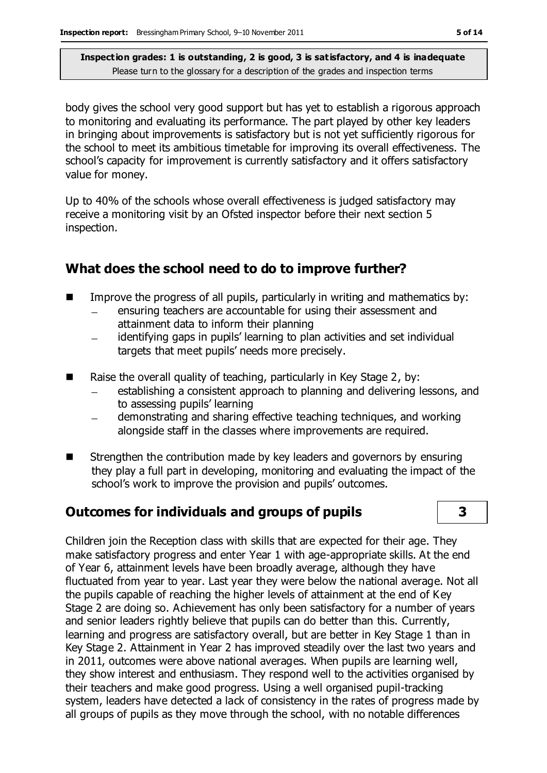body gives the school very good support but has yet to establish a rigorous approach to monitoring and evaluating its performance. The part played by other key leaders in bringing about improvements is satisfactory but is not yet sufficiently rigorous for the school to meet its ambitious timetable for improving its overall effectiveness. The school's capacity for improvement is currently satisfactory and it offers satisfactory value for money.

Up to 40% of the schools whose overall effectiveness is judged satisfactory may receive a monitoring visit by an Ofsted inspector before their next section 5 inspection.

#### **What does the school need to do to improve further?**

- Improve the progress of all pupils, particularly in writing and mathematics by:
	- ensuring teachers are accountable for using their assessment and  $\equiv$ attainment data to inform their planning
	- identifying gaps in pupils' learning to plan activities and set individual  $\overline{\phantom{a}}$ targets that meet pupils' needs more precisely.
- Raise the overall quality of teaching, particularly in Key Stage 2, by:
	- establishing a consistent approach to planning and delivering lessons, and to assessing pupils' learning
	- demonstrating and sharing effective teaching techniques, and working alongside staff in the classes where improvements are required.
- Strengthen the contribution made by key leaders and governors by ensuring they play a full part in developing, monitoring and evaluating the impact of the school's work to improve the provision and pupils' outcomes.

## **Outcomes for individuals and groups of pupils 3**



Children join the Reception class with skills that are expected for their age. They make satisfactory progress and enter Year 1 with age-appropriate skills. At the end of Year 6, attainment levels have been broadly average, although they have fluctuated from year to year. Last year they were below the national average. Not all the pupils capable of reaching the higher levels of attainment at the end of Key Stage 2 are doing so. Achievement has only been satisfactory for a number of years and senior leaders rightly believe that pupils can do better than this. Currently, learning and progress are satisfactory overall, but are better in Key Stage 1 than in Key Stage 2. Attainment in Year 2 has improved steadily over the last two years and in 2011, outcomes were above national averages. When pupils are learning well, they show interest and enthusiasm. They respond well to the activities organised by their teachers and make good progress. Using a well organised pupil-tracking system, leaders have detected a lack of consistency in the rates of progress made by all groups of pupils as they move through the school, with no notable differences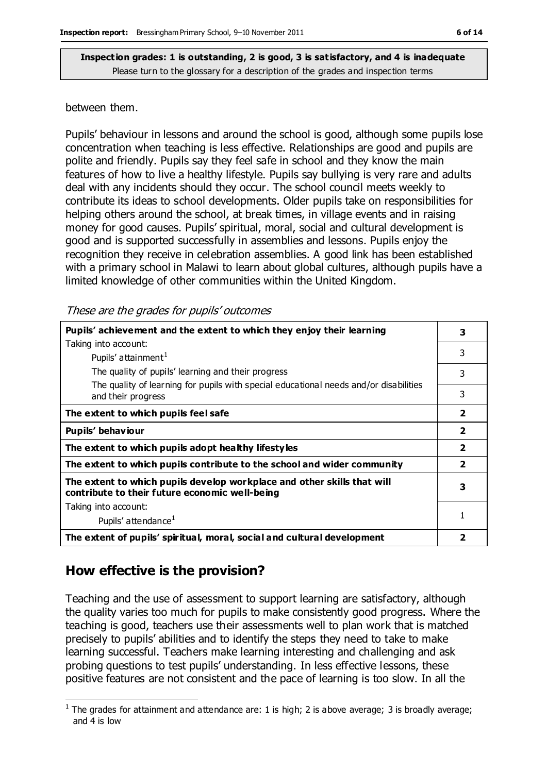#### between them.

Pupils' behaviour in lessons and around the school is good, although some pupils lose concentration when teaching is less effective. Relationships are good and pupils are polite and friendly. Pupils say they feel safe in school and they know the main features of how to live a healthy lifestyle. Pupils say bullying is very rare and adults deal with any incidents should they occur. The school council meets weekly to contribute its ideas to school developments. Older pupils take on responsibilities for helping others around the school, at break times, in village events and in raising money for good causes. Pupils' spiritual, moral, social and cultural development is good and is supported successfully in assemblies and lessons. Pupils enjoy the recognition they receive in celebration assemblies. A good link has been established with a primary school in Malawi to learn about global cultures, although pupils have a limited knowledge of other communities within the United Kingdom.

These are the grades for pupils' outcomes

| Pupils' achievement and the extent to which they enjoy their learning                                                     |                         |  |
|---------------------------------------------------------------------------------------------------------------------------|-------------------------|--|
| Taking into account:                                                                                                      |                         |  |
| Pupils' attainment <sup>1</sup>                                                                                           | 3                       |  |
| The quality of pupils' learning and their progress                                                                        | 3                       |  |
| The quality of learning for pupils with special educational needs and/or disabilities<br>and their progress               | 3                       |  |
| The extent to which pupils feel safe                                                                                      | $\overline{\mathbf{2}}$ |  |
| Pupils' behaviour                                                                                                         | $\overline{2}$          |  |
| The extent to which pupils adopt healthy lifestyles                                                                       |                         |  |
| The extent to which pupils contribute to the school and wider community                                                   |                         |  |
| The extent to which pupils develop workplace and other skills that will<br>contribute to their future economic well-being |                         |  |
| Taking into account:                                                                                                      |                         |  |
| Pupils' attendance <sup>1</sup>                                                                                           | 1                       |  |
| The extent of pupils' spiritual, moral, social and cultural development                                                   | 2                       |  |

#### **How effective is the provision?**

 $\overline{a}$ 

Teaching and the use of assessment to support learning are satisfactory, although the quality varies too much for pupils to make consistently good progress. Where the teaching is good, teachers use their assessments well to plan work that is matched precisely to pupils' abilities and to identify the steps they need to take to make learning successful. Teachers make learning interesting and challenging and ask probing questions to test pupils' understanding. In less effective lessons, these positive features are not consistent and the pace of learning is too slow. In all the

<sup>&</sup>lt;sup>1</sup> The grades for attainment and attendance are: 1 is high; 2 is above average; 3 is broadly average; and 4 is low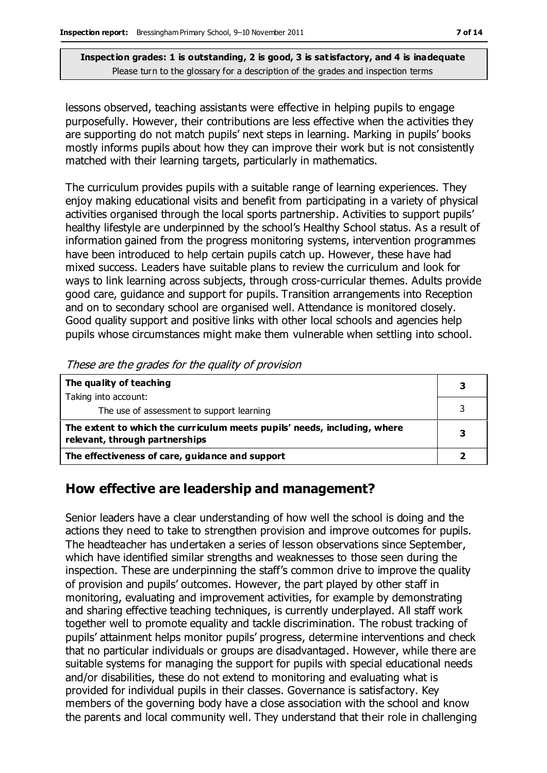lessons observed, teaching assistants were effective in helping pupils to engage purposefully. However, their contributions are less effective when the activities they are supporting do not match pupils' next steps in learning. Marking in pupils' books mostly informs pupils about how they can improve their work but is not consistently matched with their learning targets, particularly in mathematics.

The curriculum provides pupils with a suitable range of learning experiences. They enjoy making educational visits and benefit from participating in a variety of physical activities organised through the local sports partnership. Activities to support pupils' healthy lifestyle are underpinned by the school's Healthy School status. As a result of information gained from the progress monitoring systems, intervention programmes have been introduced to help certain pupils catch up. However, these have had mixed success. Leaders have suitable plans to review the curriculum and look for ways to link learning across subjects, through cross-curricular themes. Adults provide good care, guidance and support for pupils. Transition arrangements into Reception and on to secondary school are organised well. Attendance is monitored closely. Good quality support and positive links with other local schools and agencies help pupils whose circumstances might make them vulnerable when settling into school.

| The quality of teaching                                                                                    |  |
|------------------------------------------------------------------------------------------------------------|--|
| Taking into account:<br>The use of assessment to support learning                                          |  |
| The extent to which the curriculum meets pupils' needs, including, where<br>relevant, through partnerships |  |
| The effectiveness of care, guidance and support                                                            |  |

These are the grades for the quality of provision

#### **How effective are leadership and management?**

Senior leaders have a clear understanding of how well the school is doing and the actions they need to take to strengthen provision and improve outcomes for pupils. The headteacher has undertaken a series of lesson observations since September, which have identified similar strengths and weaknesses to those seen during the inspection. These are underpinning the staff's common drive to improve the quality of provision and pupils' outcomes. However, the part played by other staff in monitoring, evaluating and improvement activities, for example by demonstrating and sharing effective teaching techniques, is currently underplayed. All staff work together well to promote equality and tackle discrimination. The robust tracking of pupils' attainment helps monitor pupils' progress, determine interventions and check that no particular individuals or groups are disadvantaged. However, while there are suitable systems for managing the support for pupils with special educational needs and/or disabilities, these do not extend to monitoring and evaluating what is provided for individual pupils in their classes. Governance is satisfactory. Key members of the governing body have a close association with the school and know the parents and local community well. They understand that their role in challenging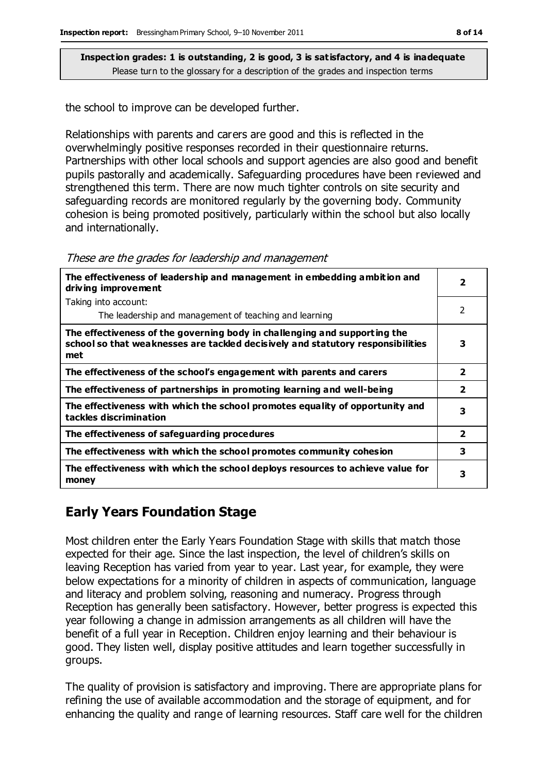the school to improve can be developed further.

Relationships with parents and carers are good and this is reflected in the overwhelmingly positive responses recorded in their questionnaire returns. Partnerships with other local schools and support agencies are also good and benefit pupils pastorally and academically. Safeguarding procedures have been reviewed and strengthened this term. There are now much tighter controls on site security and safeguarding records are monitored regularly by the governing body. Community cohesion is being promoted positively, particularly within the school but also locally and internationally.

| The effectiveness of leadership and management in embedding ambition and<br>driving improvement                                                                     |                         |  |
|---------------------------------------------------------------------------------------------------------------------------------------------------------------------|-------------------------|--|
| Taking into account:                                                                                                                                                |                         |  |
| The leadership and management of teaching and learning                                                                                                              | $\mathcal{P}$           |  |
| The effectiveness of the governing body in challenging and supporting the<br>school so that weaknesses are tackled decisively and statutory responsibilities<br>met | 3                       |  |
| The effectiveness of the school's engagement with parents and carers                                                                                                | $\overline{\mathbf{2}}$ |  |
| The effectiveness of partnerships in promoting learning and well-being                                                                                              | $\overline{2}$          |  |
| The effectiveness with which the school promotes equality of opportunity and<br>tackles discrimination                                                              | 3                       |  |
| The effectiveness of safeguarding procedures                                                                                                                        | $\overline{2}$          |  |
| The effectiveness with which the school promotes community cohesion                                                                                                 | 3                       |  |
| The effectiveness with which the school deploys resources to achieve value for<br>money                                                                             | 3                       |  |

## **Early Years Foundation Stage**

Most children enter the Early Years Foundation Stage with skills that match those expected for their age. Since the last inspection, the level of children's skills on leaving Reception has varied from year to year. Last year, for example, they were below expectations for a minority of children in aspects of communication, language and literacy and problem solving, reasoning and numeracy. Progress through Reception has generally been satisfactory. However, better progress is expected this year following a change in admission arrangements as all children will have the benefit of a full year in Reception. Children enjoy learning and their behaviour is good. They listen well, display positive attitudes and learn together successfully in groups.

The quality of provision is satisfactory and improving. There are appropriate plans for refining the use of available accommodation and the storage of equipment, and for enhancing the quality and range of learning resources. Staff care well for the children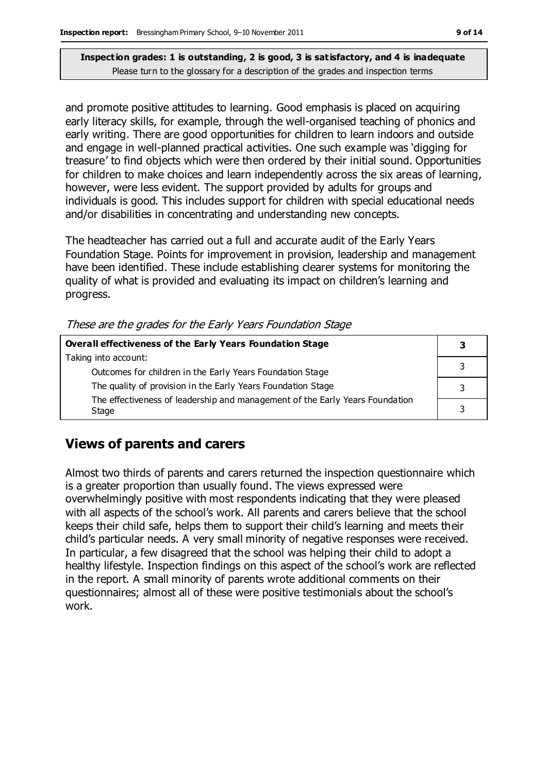and promote positive attitudes to learning. Good emphasis is placed on acquiring early literacy skills, for example, through the well-organised teaching of phonics and early writing. There are good opportunities for children to learn indoors and outside and engage in well-planned practical activities. One such example was 'digging for treasure' to find objects which were then ordered by their initial sound. Opportunities for children to make choices and learn independently across the six areas of learning, however, were less evident. The support provided by adults for groups and individuals is good. This includes support for children with special educational needs and/or disabilities in concentrating and understanding new concepts.

The headteacher has carried out a full and accurate audit of the Early Years Foundation Stage. Points for improvement in provision, leadership and management have been identified. These include establishing clearer systems for monitoring the quality of what is provided and evaluating its impact on children's learning and progress.

These are the grades for the Early Years Foundation Stage

| <b>Overall effectiveness of the Early Years Foundation Stage</b>                      |  |  |
|---------------------------------------------------------------------------------------|--|--|
| Taking into account:                                                                  |  |  |
| Outcomes for children in the Early Years Foundation Stage                             |  |  |
| The quality of provision in the Early Years Foundation Stage                          |  |  |
| The effectiveness of leadership and management of the Early Years Foundation<br>Stage |  |  |

## **Views of parents and carers**

Almost two thirds of parents and carers returned the inspection questionnaire which is a greater proportion than usually found. The views expressed were overwhelmingly positive with most respondents indicating that they were pleased with all aspects of the school's work. All parents and carers believe that the school keeps their child safe, helps them to support their child's learning and meets their child's particular needs. A very small minority of negative responses were received. In particular, a few disagreed that the school was helping their child to adopt a healthy lifestyle. Inspection findings on this aspect of the school's work are reflected in the report. A small minority of parents wrote additional comments on their questionnaires; almost all of these were positive testimonials about the school's work.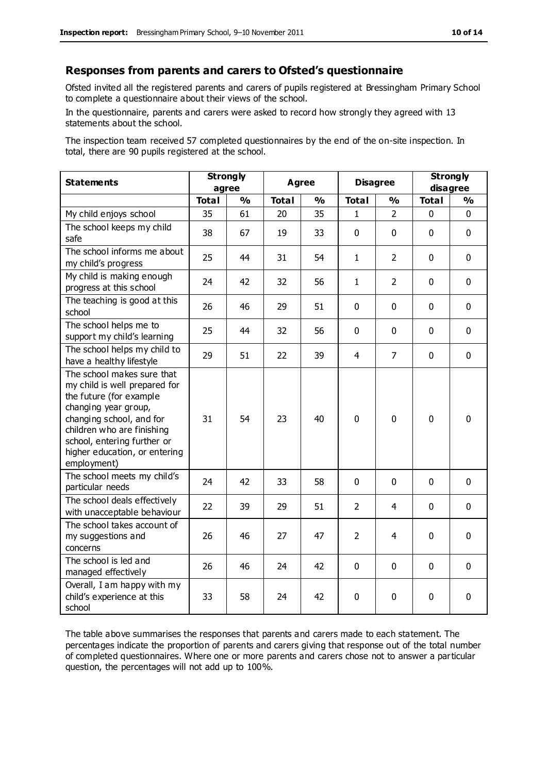#### **Responses from parents and carers to Ofsted's questionnaire**

Ofsted invited all the registered parents and carers of pupils registered at Bressingham Primary School to complete a questionnaire about their views of the school.

In the questionnaire, parents and carers were asked to record how strongly they agreed with 13 statements about the school.

The inspection team received 57 completed questionnaires by the end of the on-site inspection. In total, there are 90 pupils registered at the school.

| <b>Statements</b>                                                                                                                                                                                                                                       | <b>Strongly</b><br>agree |               | Agree        |               | <b>Disagree</b> |                | <b>Strongly</b><br>disagree |               |
|---------------------------------------------------------------------------------------------------------------------------------------------------------------------------------------------------------------------------------------------------------|--------------------------|---------------|--------------|---------------|-----------------|----------------|-----------------------------|---------------|
|                                                                                                                                                                                                                                                         | <b>Total</b>             | $\frac{1}{2}$ | <b>Total</b> | $\frac{1}{2}$ | <b>Total</b>    | $\frac{1}{2}$  | <b>Total</b>                | $\frac{1}{2}$ |
| My child enjoys school                                                                                                                                                                                                                                  | 35                       | 61            | 20           | 35            | $\mathbf{1}$    | $\overline{2}$ | $\mathbf 0$                 | $\mathbf 0$   |
| The school keeps my child<br>safe                                                                                                                                                                                                                       | 38                       | 67            | 19           | 33            | $\mathbf 0$     | $\mathbf 0$    | $\mathbf 0$                 | $\mathbf 0$   |
| The school informs me about<br>my child's progress                                                                                                                                                                                                      | 25                       | 44            | 31           | 54            | $\mathbf{1}$    | $\overline{2}$ | $\mathbf 0$                 | $\mathbf 0$   |
| My child is making enough<br>progress at this school                                                                                                                                                                                                    | 24                       | 42            | 32           | 56            | $\mathbf{1}$    | 2              | $\mathbf 0$                 | $\mathbf 0$   |
| The teaching is good at this<br>school                                                                                                                                                                                                                  | 26                       | 46            | 29           | 51            | 0               | $\mathbf 0$    | $\mathbf 0$                 | $\mathbf 0$   |
| The school helps me to<br>support my child's learning                                                                                                                                                                                                   | 25                       | 44            | 32           | 56            | 0               | $\Omega$       | $\Omega$                    | $\mathbf 0$   |
| The school helps my child to<br>have a healthy lifestyle                                                                                                                                                                                                | 29                       | 51            | 22           | 39            | $\overline{4}$  | $\overline{7}$ | $\mathbf 0$                 | $\mathbf 0$   |
| The school makes sure that<br>my child is well prepared for<br>the future (for example<br>changing year group,<br>changing school, and for<br>children who are finishing<br>school, entering further or<br>higher education, or entering<br>employment) | 31                       | 54            | 23           | 40            | $\mathbf 0$     | $\mathbf 0$    | $\mathbf{0}$                | 0             |
| The school meets my child's<br>particular needs                                                                                                                                                                                                         | 24                       | 42            | 33           | 58            | $\mathbf{0}$    | $\mathbf 0$    | $\mathbf 0$                 | $\mathbf 0$   |
| The school deals effectively<br>with unacceptable behaviour                                                                                                                                                                                             | 22                       | 39            | 29           | 51            | 2               | 4              | $\mathbf 0$                 | $\mathbf 0$   |
| The school takes account of<br>my suggestions and<br>concerns                                                                                                                                                                                           | 26                       | 46            | 27           | 47            | $\overline{2}$  | 4              | $\mathbf 0$                 | $\mathbf 0$   |
| The school is led and<br>managed effectively                                                                                                                                                                                                            | 26                       | 46            | 24           | 42            | $\pmb{0}$       | $\mathbf 0$    | $\mathbf 0$                 | $\mathbf 0$   |
| Overall, I am happy with my<br>child's experience at this<br>school                                                                                                                                                                                     | 33                       | 58            | 24           | 42            | 0               | $\mathbf 0$    | $\mathbf 0$                 | 0             |

The table above summarises the responses that parents and carers made to each statement. The percentages indicate the proportion of parents and carers giving that response out of the total number of completed questionnaires. Where one or more parents and carers chose not to answer a particular question, the percentages will not add up to 100%.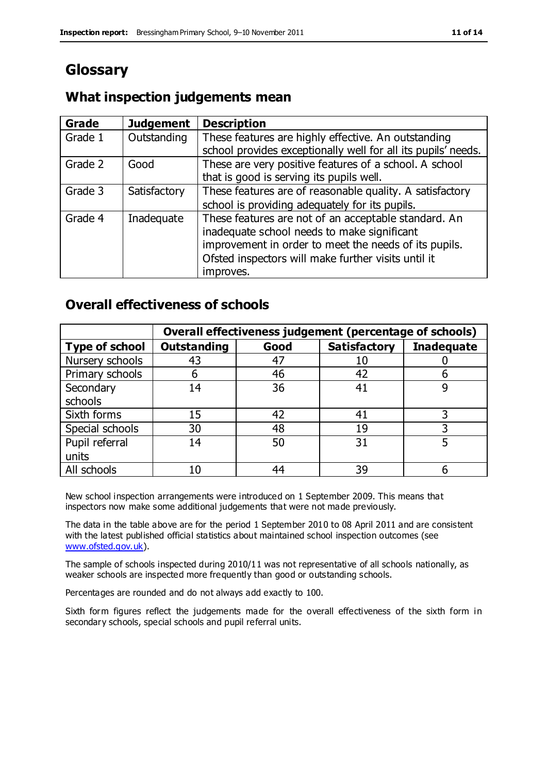## **Glossary**

#### **What inspection judgements mean**

| <b>Grade</b> | <b>Judgement</b> | <b>Description</b>                                            |
|--------------|------------------|---------------------------------------------------------------|
| Grade 1      | Outstanding      | These features are highly effective. An outstanding           |
|              |                  | school provides exceptionally well for all its pupils' needs. |
| Grade 2      | Good             | These are very positive features of a school. A school        |
|              |                  | that is good is serving its pupils well.                      |
| Grade 3      | Satisfactory     | These features are of reasonable quality. A satisfactory      |
|              |                  | school is providing adequately for its pupils.                |
| Grade 4      | Inadequate       | These features are not of an acceptable standard. An          |
|              |                  | inadequate school needs to make significant                   |
|              |                  | improvement in order to meet the needs of its pupils.         |
|              |                  | Ofsted inspectors will make further visits until it           |
|              |                  | improves.                                                     |

#### **Overall effectiveness of schools**

|                       | Overall effectiveness judgement (percentage of schools) |      |                     |                   |
|-----------------------|---------------------------------------------------------|------|---------------------|-------------------|
| <b>Type of school</b> | <b>Outstanding</b>                                      | Good | <b>Satisfactory</b> | <b>Inadequate</b> |
| Nursery schools       | 43                                                      | 47   | 10                  |                   |
| Primary schools       | 6                                                       | 46   | 42                  |                   |
| Secondary             | 14                                                      | 36   | 41                  |                   |
| schools               |                                                         |      |                     |                   |
| Sixth forms           | 15                                                      | 42   | 41                  | 3                 |
| Special schools       | 30                                                      | 48   | 19                  |                   |
| Pupil referral        | 14                                                      | 50   | 31                  |                   |
| units                 |                                                         |      |                     |                   |
| All schools           | 10                                                      | 44   | 39                  |                   |

New school inspection arrangements were introduced on 1 September 2009. This means that inspectors now make some additional judgements that were not made previously.

The data in the table above are for the period 1 September 2010 to 08 April 2011 and are consistent with the latest published official statistics about maintained school inspection outcomes (see [www.ofsted.gov.uk\)](http://www.ofsted.gov.uk/).

The sample of schools inspected during 2010/11 was not representative of all schools nationally, as weaker schools are inspected more frequently than good or outstanding schools.

Percentages are rounded and do not always add exactly to 100.

Sixth form figures reflect the judgements made for the overall effectiveness of the sixth form in secondary schools, special schools and pupil referral units.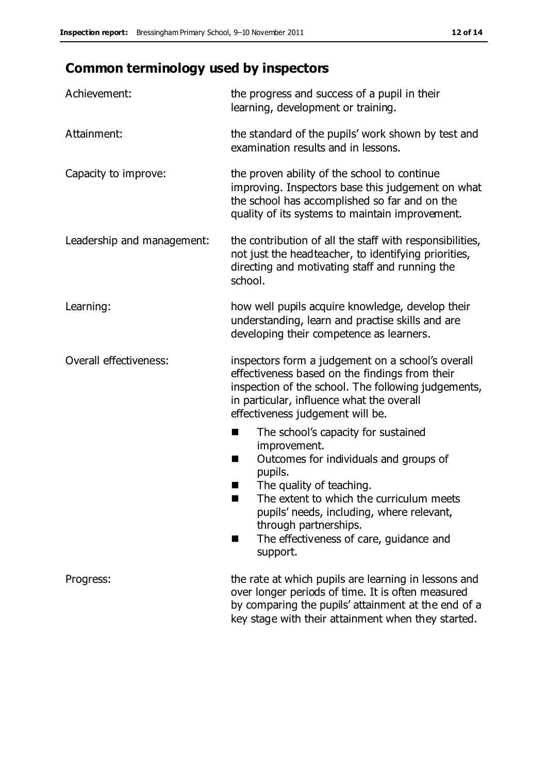# **Common terminology used by inspectors**

| Achievement:                  | the progress and success of a pupil in their<br>learning, development or training.                                                                                                                                                                                                                                      |  |  |
|-------------------------------|-------------------------------------------------------------------------------------------------------------------------------------------------------------------------------------------------------------------------------------------------------------------------------------------------------------------------|--|--|
| Attainment:                   | the standard of the pupils' work shown by test and<br>examination results and in lessons.                                                                                                                                                                                                                               |  |  |
| Capacity to improve:          | the proven ability of the school to continue<br>improving. Inspectors base this judgement on what<br>the school has accomplished so far and on the<br>quality of its systems to maintain improvement.                                                                                                                   |  |  |
| Leadership and management:    | the contribution of all the staff with responsibilities,<br>not just the headteacher, to identifying priorities,<br>directing and motivating staff and running the<br>school.                                                                                                                                           |  |  |
| Learning:                     | how well pupils acquire knowledge, develop their<br>understanding, learn and practise skills and are<br>developing their competence as learners.                                                                                                                                                                        |  |  |
| <b>Overall effectiveness:</b> | inspectors form a judgement on a school's overall<br>effectiveness based on the findings from their<br>inspection of the school. The following judgements,<br>in particular, influence what the overall<br>effectiveness judgement will be.                                                                             |  |  |
|                               | The school's capacity for sustained<br>improvement.<br>Outcomes for individuals and groups of<br>H<br>pupils.<br>The quality of teaching.<br>The extent to which the curriculum meets<br>ш<br>pupils' needs, including, where relevant,<br>through partnerships.<br>The effectiveness of care, guidance and<br>support. |  |  |
| Progress:                     | the rate at which pupils are learning in lessons and<br>over longer periods of time. It is often measured<br>by comparing the pupils' attainment at the end of a<br>key stage with their attainment when they started.                                                                                                  |  |  |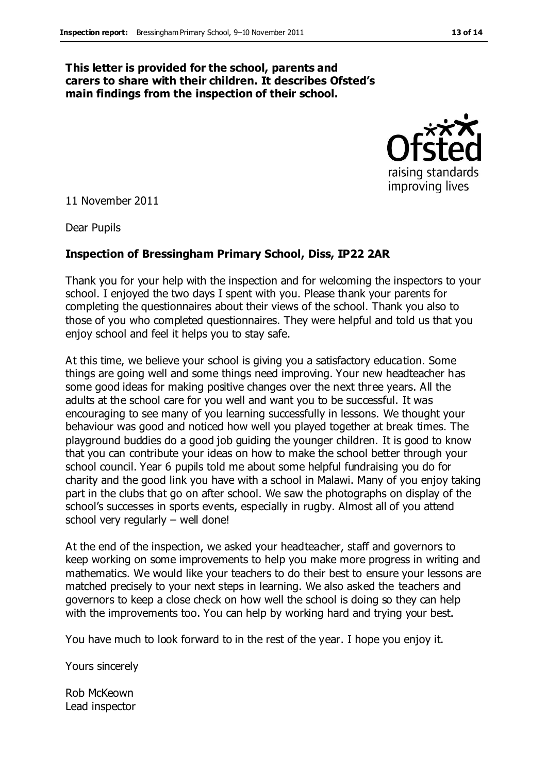#### **This letter is provided for the school, parents and carers to share with their children. It describes Ofsted's main findings from the inspection of their school.**



11 November 2011

Dear Pupils

#### **Inspection of Bressingham Primary School, Diss, IP22 2AR**

Thank you for your help with the inspection and for welcoming the inspectors to your school. I enjoyed the two days I spent with you. Please thank your parents for completing the questionnaires about their views of the school. Thank you also to those of you who completed questionnaires. They were helpful and told us that you enjoy school and feel it helps you to stay safe.

At this time, we believe your school is giving you a satisfactory education. Some things are going well and some things need improving. Your new headteacher has some good ideas for making positive changes over the next three years. All the adults at the school care for you well and want you to be successful. It was encouraging to see many of you learning successfully in lessons. We thought your behaviour was good and noticed how well you played together at break times. The playground buddies do a good job guiding the younger children. It is good to know that you can contribute your ideas on how to make the school better through your school council. Year 6 pupils told me about some helpful fundraising you do for charity and the good link you have with a school in Malawi. Many of you enjoy taking part in the clubs that go on after school. We saw the photographs on display of the school's successes in sports events, especially in rugby. Almost all of you attend school very regularly – well done!

At the end of the inspection, we asked your headteacher, staff and governors to keep working on some improvements to help you make more progress in writing and mathematics. We would like your teachers to do their best to ensure your lessons are matched precisely to your next steps in learning. We also asked the teachers and governors to keep a close check on how well the school is doing so they can help with the improvements too. You can help by working hard and trying your best.

You have much to look forward to in the rest of the year. I hope you enjoy it.

Yours sincerely

Rob McKeown Lead inspector